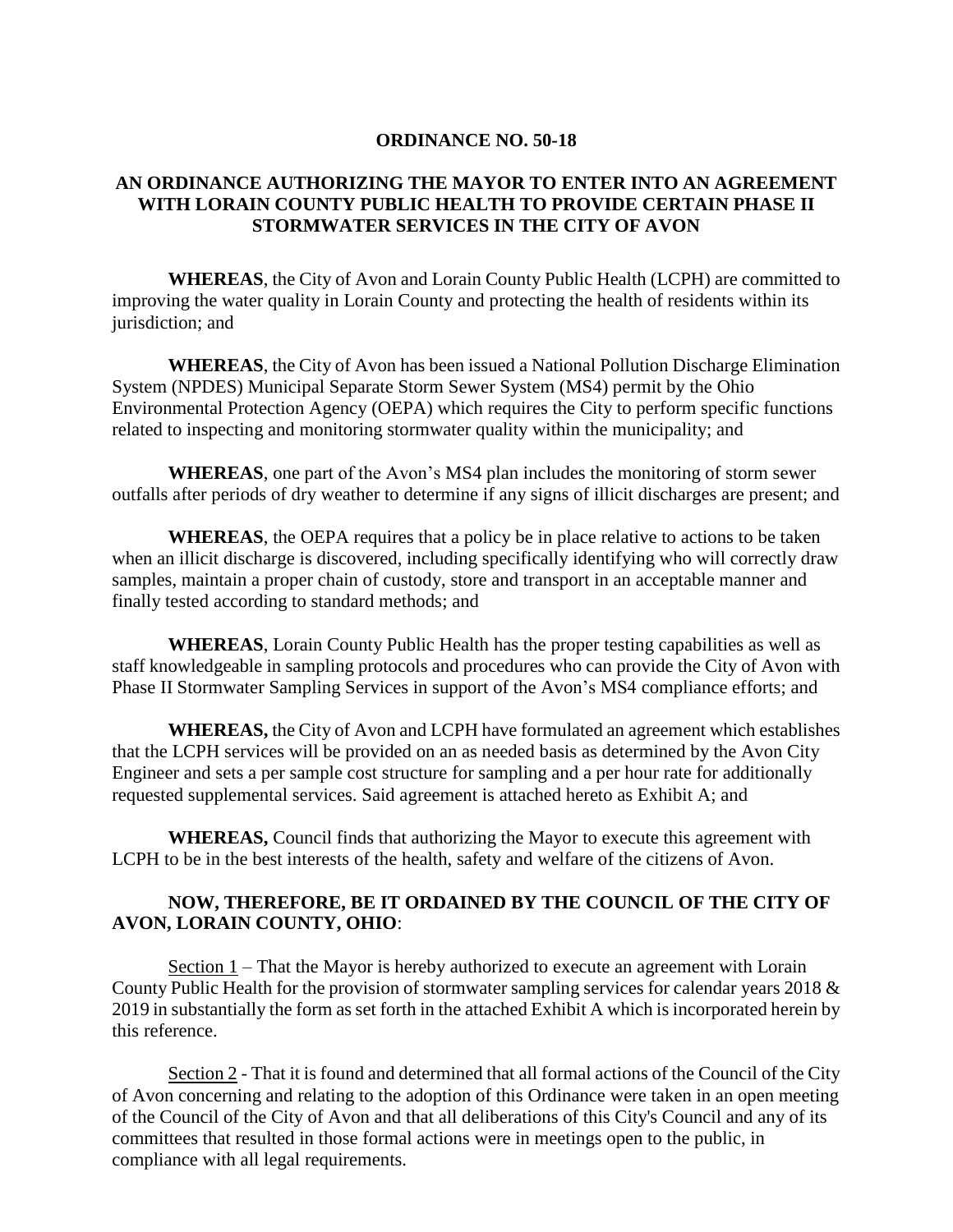## **ORDINANCE NO. 50-18**

## **AN ORDINANCE AUTHORIZING THE MAYOR TO ENTER INTO AN AGREEMENT WITH LORAIN COUNTY PUBLIC HEALTH TO PROVIDE CERTAIN PHASE II STORMWATER SERVICES IN THE CITY OF AVON**

**WHEREAS**, the City of Avon and Lorain County Public Health (LCPH) are committed to improving the water quality in Lorain County and protecting the health of residents within its jurisdiction; and

**WHEREAS**, the City of Avon has been issued a National Pollution Discharge Elimination System (NPDES) Municipal Separate Storm Sewer System (MS4) permit by the Ohio Environmental Protection Agency (OEPA) which requires the City to perform specific functions related to inspecting and monitoring stormwater quality within the municipality; and

**WHEREAS**, one part of the Avon's MS4 plan includes the monitoring of storm sewer outfalls after periods of dry weather to determine if any signs of illicit discharges are present; and

**WHEREAS**, the OEPA requires that a policy be in place relative to actions to be taken when an illicit discharge is discovered, including specifically identifying who will correctly draw samples, maintain a proper chain of custody, store and transport in an acceptable manner and finally tested according to standard methods; and

**WHEREAS**, Lorain County Public Health has the proper testing capabilities as well as staff knowledgeable in sampling protocols and procedures who can provide the City of Avon with Phase II Stormwater Sampling Services in support of the Avon's MS4 compliance efforts; and

**WHEREAS,** the City of Avon and LCPH have formulated an agreement which establishes that the LCPH services will be provided on an as needed basis as determined by the Avon City Engineer and sets a per sample cost structure for sampling and a per hour rate for additionally requested supplemental services. Said agreement is attached hereto as Exhibit A; and

**WHEREAS,** Council finds that authorizing the Mayor to execute this agreement with LCPH to be in the best interests of the health, safety and welfare of the citizens of Avon.

## **NOW, THEREFORE, BE IT ORDAINED BY THE COUNCIL OF THE CITY OF AVON, LORAIN COUNTY, OHIO**:

Section  $1$  – That the Mayor is hereby authorized to execute an agreement with Lorain County Public Health for the provision of stormwater sampling services for calendar years 2018 & 2019 in substantially the form as set forth in the attached Exhibit A which is incorporated herein by this reference.

Section 2 - That it is found and determined that all formal actions of the Council of the City of Avon concerning and relating to the adoption of this Ordinance were taken in an open meeting of the Council of the City of Avon and that all deliberations of this City's Council and any of its committees that resulted in those formal actions were in meetings open to the public, in compliance with all legal requirements.